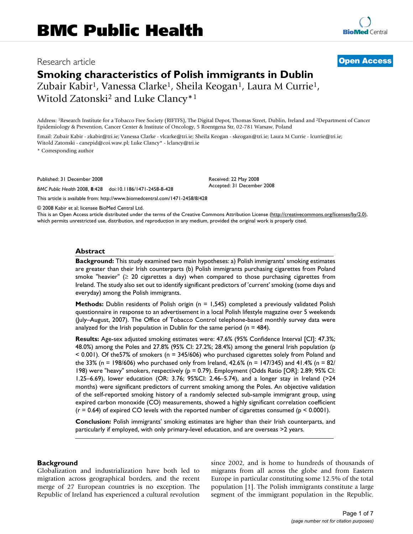# Research article **[Open Access](http://www.biomedcentral.com/info/about/charter/)**

**[BioMed](http://www.biomedcentral.com/)** Central

# **Smoking characteristics of Polish immigrants in Dublin**

Zubair Kabir<sup>1</sup>, Vanessa Clarke<sup>1</sup>, Sheila Keogan<sup>1</sup>, Laura M Currie<sup>1</sup>, Witold Zatonski<sup>2</sup> and Luke Clancy<sup>\*1</sup>

Address: 1Research Institute for a Tobacco Free Society (RIFTFS), The Digital Depot, Thomas Street, Dublin, Ireland and 2Department of Cancer Epidemiology & Prevention, Cancer Center & Institute of Oncology, 5 Roentgena Str, 02-781 Warsaw, Poland

Email: Zubair Kabir - zkabir@tri.ie; Vanessa Clarke - vlcarke@tri.ie; Sheila Keogan - skeogan@tri.ie; Laura M Currie - lcurrie@tri.ie; Witold Zatonski - canepid@coi.waw.pl; Luke Clancy\* - lclancy@tri.ie

\* Corresponding author

Published: 31 December 2008

*BMC Public Health* 2008, **8**:428 doi:10.1186/1471-2458-8-428

Received: 22 May 2008 Accepted: 31 December 2008

[This article is available from: http://www.biomedcentral.com/1471-2458/8/428](http://www.biomedcentral.com/1471-2458/8/428)

© 2008 Kabir et al; licensee BioMed Central Ltd.

This is an Open Access article distributed under the terms of the Creative Commons Attribution License [\(http://creativecommons.org/licenses/by/2.0\)](http://creativecommons.org/licenses/by/2.0), which permits unrestricted use, distribution, and reproduction in any medium, provided the original work is properly cited.

#### **Abstract**

**Background:** This study examined two main hypotheses: a) Polish immigrants' smoking estimates are greater than their Irish counterparts (b) Polish immigrants purchasing cigarettes from Poland smoke "heavier" ( $\geq$  20 cigarettes a day) when compared to those purchasing cigarettes from Ireland. The study also set out to identify significant predictors of 'current' smoking (some days and everyday) among the Polish immigrants.

**Methods:** Dublin residents of Polish origin (n = 1,545) completed a previously validated Polish questionnaire in response to an advertisement in a local Polish lifestyle magazine over 5 weekends (July–August, 2007). The Office of Tobacco Control telephone-based monthly survey data were analyzed for the Irish population in Dublin for the same period ( $n = 484$ ).

**Results:** Age-sex adjusted smoking estimates were: 47.6% (95% Confidence Interval [CI]: 47.3%; 48.0%) among the Poles and 27.8% (95% CI: 27.2%; 28.4%) among the general Irish population (p < 0.001). Of the57% of smokers (n = 345/606) who purchased cigarettes solely from Poland and the 33% (n = 198/606) who purchased only from Ireland, 42.6% (n = 147/345) and 41.4% (n = 82/ 198) were "heavy" smokers, respectively (p = 0.79). Employment (Odds Ratio [OR]: 2.89; 95% CI: 1.25–6.69), lower education (OR: 3.76; 95%CI: 2.46–5.74), and a longer stay in Ireland (>24 months) were significant predictors of current smoking among the Poles. An objective validation of the self-reported smoking history of a randomly selected sub-sample immigrant group, using expired carbon monoxide (CO) measurements, showed a highly significant correlation coefficient  $(r = 0.64)$  of expired CO levels with the reported number of cigarettes consumed ( $p \le 0.0001$ ).

**Conclusion:** Polish immigrants' smoking estimates are higher than their Irish counterparts, and particularly if employed, with only primary-level education, and are overseas >2 years.

#### **Background**

Globalization and industrialization have both led to migration across geographical borders, and the recent merge of 27 European countries is no exception. The Republic of Ireland has experienced a cultural revolution since 2002, and is home to hundreds of thousands of migrants from all across the globe and from Eastern Europe in particular constituting some 12.5% of the total population [1]. The Polish immigrants constitute a large segment of the immigrant population in the Republic.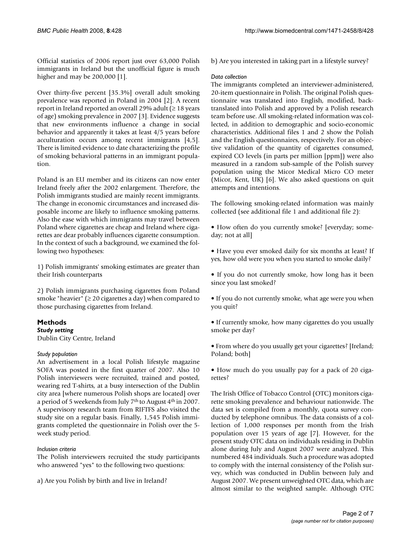Official statistics of 2006 report just over 63,000 Polish immigrants in Ireland but the unofficial figure is much higher and may be 200,000 [1].

Over thirty-five percent [35.3%] overall adult smoking prevalence was reported in Poland in 2004 [2]. A recent report in Ireland reported an overall 29% adult (≥ 18 years of age) smoking prevalence in 2007 [3]. Evidence suggests that new environments influence a change in social behavior and apparently it takes at least 4/5 years before acculturation occurs among recent immigrants [4,5]. There is limited evidence to date characterizing the profile of smoking behavioral patterns in an immigrant population.

Poland is an EU member and its citizens can now enter Ireland freely after the 2002 enlargement. Therefore, the Polish immigrants studied are mainly recent immigrants. The change in economic circumstances and increased disposable income are likely to influence smoking patterns. Also the ease with which immigrants may travel between Poland where cigarettes are cheap and Ireland where cigarettes are dear probably influences cigarette consumption. In the context of such a background, we examined the following two hypotheses:

1) Polish immigrants' smoking estimates are greater than their Irish counterparts

2) Polish immigrants purchasing cigarettes from Poland smoke "heavier" ( $\geq$  20 cigarettes a day) when compared to those purchasing cigarettes from Ireland.

# **Methods**

*Study setting* Dublin City Centre, Ireland

#### *Study population*

An advertisement in a local Polish lifestyle magazine SOFA was posted in the first quarter of 2007. Also 10 Polish interviewers were recruited, trained and posted, wearing red T-shirts, at a busy intersection of the Dublin city area [where numerous Polish shops are located] over a period of 5 weekends from July 7th to August 4th in 2007. A supervisory research team from RIFTFS also visited the study site on a regular basis. Finally, 1,545 Polish immigrants completed the questionnaire in Polish over the 5 week study period.

#### *Inclusion criteria*

The Polish interviewers recruited the study participants who answered "yes" to the following two questions:

a) Are you Polish by birth and live in Ireland?

b) Are you interested in taking part in a lifestyle survey?

#### *Data collection*

The immigrants completed an interviewer-administered, 20-item questionnaire in Polish. The original Polish questionnaire was translated into English, modified, backtranslated into Polish and approved by a Polish research team before use. All smoking-related information was collected, in addition to demographic and socio-economic characteristics. Additional files 1 and 2 show the Polish and the English questionnaires, respectively. For an objective validation of the quantity of cigarettes consumed, expired CO levels (in parts per million [ppm]) were also measured in a random sub-sample of the Polish survey population using the Micor Medical Micro CO meter (Micor, Kent, UK) [6]. We also asked questions on quit attempts and intentions.

The following smoking-related information was mainly collected (see additional file 1 and additional file 2):

• How often do you currently smoke? [everyday; someday; not at all]

• Have you ever smoked daily for six months at least? If yes, how old were you when you started to smoke daily?

• If you do not currently smoke, how long has it been since you last smoked?

• If you do not currently smoke, what age were you when you quit?

• If currently smoke, how many cigarettes do you usually smoke per day?

• From where do you usually get your cigarettes? [Ireland; Poland; both]

• How much do you usually pay for a pack of 20 cigarettes?

The Irish Office of Tobacco Control (OTC) monitors cigarette smoking prevalence and behaviour nationwide. The data set is compiled from a monthly, quota survey conducted by telephone omnibus. The data consists of a collection of 1,000 responses per month from the Irish population over 15 years of age [7]. However, for the present study OTC data on individuals residing in Dublin alone during July and August 2007 were analyzed. This numbered 484 individuals. Such a procedure was adopted to comply with the internal consistency of the Polish survey, which was conducted in Dublin between July and August 2007. We present unweighted OTC data, which are almost similar to the weighted sample. Although OTC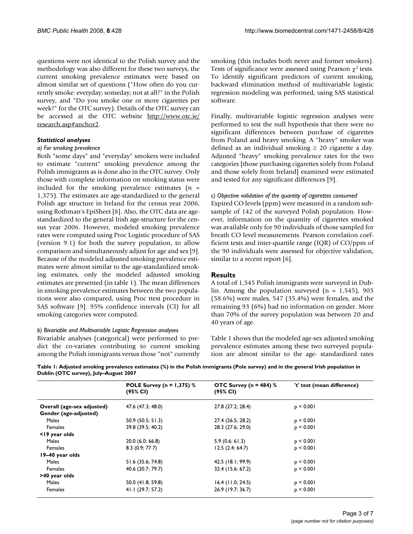questions were not identical to the Polish survey and the methodology was also different for these two surveys, the current smoking prevalence estimates were based on almost similar set of questions ("How often do you currently smoke: everyday; someday; not at all?" in the Polish survey, and "Do you smoke one or more cigarettes per week?" for the OTC survey). Details of the OTC survey can be accessed at the OTC website [http://www.otc.ie/](http://www.otc.ie/research.asp#anchor2) [research.asp#anchor2](http://www.otc.ie/research.asp#anchor2).

#### *Statistical analyses*

#### *a) For smoking prevalence*

Both "some days" and "everyday" smokers were included to estimate "current" smoking prevalence among the Polish immigrants as is done also in the OTC survey. Only those with complete information on smoking status were included for the smoking prevalence estimates  $(n =$ 1,375). The estimates are age-standardized to the general Polish age structure in Ireland for the census year 2006, using Rothman's EpiSheet [8]. Also, the OTC data are agestandardized to the general Irish age-structure for the census year 2006. However, modeled smoking prevalence rates were computed using Proc Logistic procedure of SAS (version 9.1) for both the survey population, to allow comparison and simultaneously adjust for age and sex [9]. Because of the modeled adjusted smoking prevalence estimates were almost similar to the age-standardized smoking estimates, only the modeled adjusted smoking estimates are presented (in table 1). The mean differences in smoking prevalence estimates between the two populations were also compared, using Proc ttest procedure in SAS software [9]. 95% confidence intervals (CI) for all smoking categories were computed.

#### *b) Bivariable and Multivariable Logistic Regression analyses*

Bivariable analyses (categorical) were performed to predict the co-variates contributing to current smoking among the Polish immigrants versus those "not" currently smoking (this includes both never and former smokers). Tests of significance were assessed using Pearson  $\chi^2$  tests. To identify significant predictors of current smoking, backward elimination method of multivariable logistic regression modeling was performed, using SAS statistical software.

Finally, multivariable logistic regression analyses were performed to test the null hypothesis that there were no significant differences between purchase of cigarettes from Poland and heavy smoking. A "heavy" smoker was defined as an individual smoking  $\geq$  20 cigarette a day. Adjusted "heavy" smoking prevalence rates for the two categories [those purchasing cigarettes solely from Poland and those solely from Ireland] examined were estimated and tested for any significant differences [9].

#### *c) Objective validation of the quantity of cigarettes consumed*

Expired CO levels (ppm) were measured in a random subsample of 142 of the surveyed Polish population. However, information on the quantity of cigarettes smoked was available only for 90 individuals of those sampled for breath CO level measurements. Pearson correlation coefficient tests and inter-quartile range (IQR) of CO/ppm of the 90 individuals were assessed for objective validation, similar to a recent report [6].

#### **Results**

A total of 1,545 Polish immigrants were surveyed in Dublin. Among the population surveyed  $(n = 1.545)$ , 905 (58.6%) were males, 547 (35.4%) were females, and the remaining 93 (6%) had no information on gender. More than 70% of the survey population was between 20 and 40 years of age.

Table 1 shows that the modeled age-sex adjusted smoking prevalence estimates among these two surveyed population are almost similar to the age- standardized rates

**Table 1: Adjusted smoking prevalence estimates (%) in the Polish immigrants (Pole survey) and in the general Irish population in Dublin (OTC survey), July–August 2007**

|                            | <b>POLE Survey (n = 1,375)</b> $%$ | OTC Survey ( $n = 484$ ) % | 't' test (mean difference) |  |
|----------------------------|------------------------------------|----------------------------|----------------------------|--|
|                            | (95% CI)                           | (95% CI)                   |                            |  |
| Overall (age-sex adjusted) | 47.6 (47.3; 48.0)                  | 27.8 (27.2; 28.4)          | p < 0.001                  |  |
| Gender (age-adjusted)      |                                    |                            |                            |  |
| <b>Males</b>               | 50.9(50.5; 51.3)                   | 27.4 (26.5; 28.2)          | $p \leq 0.001$             |  |
| Females                    | 39.8 (39.5; 40.2)                  | 28.3 (27.6; 29.0)          | p < 0.001                  |  |
| <19 year olds              |                                    |                            |                            |  |
| Males                      | 20.0(6.0; 66.8)                    | 5.9(0.6; 61.3)             | p < 0.001                  |  |
| Females                    | 8.3(0.9; 77.7)                     | 12.5(2.4; 64.7)            | p < 0.001                  |  |
| 19-40 year olds            |                                    |                            |                            |  |
| <b>Males</b>               | 51.6 (35.6; 74.8)                  | 42.5 (18.1; 99.9)          | $p \leq 0.001$             |  |
| Females                    | 40.6 (20.7; 79.7)                  | 32.4 (15.6; 67.2)          | p < 0.001                  |  |
| >40 year olds              |                                    |                            |                            |  |
| Males                      | 50.0 (41.8; 59.8)                  | $16.4$ (11.0; 24.5)        | $p \leq 0.001$             |  |
| Females                    | 41.1 (29.7; 57.2)                  | 26.9 (19.7; 36.7)          | $p \leq 0.001$             |  |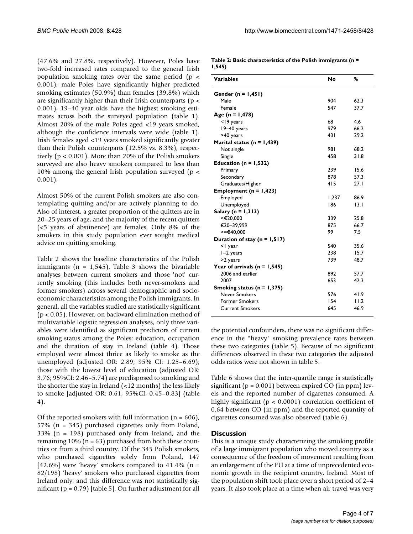(47.6% and 27.8%, respectively). However, Poles have two-fold increased rates compared to the general Irish population smoking rates over the same period ( $p \le$ 0.001); male Poles have significantly higher predicted smoking estimates (50.9%) than females (39.8%) which are significantly higher than their Irish counterparts ( $p <$ 0.001). 19–40 year olds have the highest smoking estimates across both the surveyed population (table 1). Almost 20% of the male Poles aged <19 years smoked, although the confidence intervals were wide (table 1). Irish females aged <19 years smoked significantly greater than their Polish counterparts (12.5% vs. 8.3%), respectively ( $p < 0.001$ ). More than 20% of the Polish smokers surveyed are also heavy smokers compared to less than 10% among the general Irish population surveyed (p < 0.001).

Almost 50% of the current Polish smokers are also contemplating quitting and/or are actively planning to do. Also of interest, a greater proportion of the quitters are in 20–25 years of age, and the majority of the recent quitters (<5 years of abstinence) are females. Only 8% of the smokers in this study population ever sought medical advice on quitting smoking.

Table 2 shows the baseline characteristics of the Polish immigrants ( $n = 1,545$ ). Table 3 shows the bivariable analyses between current smokers and those 'not' currently smoking (this includes both never-smokers and former smokers) across several demographic and socioeconomic characteristics among the Polish immigrants. In general, all the variables studied are statistically significant (p < 0.05). However, on backward elimination method of multivariable logistic regression analyses, only three variables were identified as significant predictors of current smoking status among the Poles: education, occupation and the duration of stay in Ireland (table 4). Those employed were almost thrice as likely to smoke as the unemployed (adjusted OR: 2.89; 95% CI: 1.25–6.69); those with the lowest level of education (adjusted OR: 3.76; 95%CI: 2.46–5.74) are predisposed to smoking; and the shorter the stay in Ireland (<12 months) the less likely to smoke [adjusted OR: 0.61; 95%CI: 0.45–0.83] (table 4).

Of the reported smokers with full information  $(n = 606)$ , 57% (n = 345) purchased cigarettes only from Poland, 33% (n = 198) purchased only from Ireland, and the remaining  $10\%$  (n = 63) purchased from both these countries or from a third country. Of the 345 Polish smokers, who purchased cigarettes solely from Poland, 147 [42.6%] were 'heavy' smokers compared to 41.4% ( $n =$ 82/198) 'heavy' smokers who purchased cigarettes from Ireland only, and this difference was not statistically significant ( $p = 0.79$ ) [table 5]. On further adjustment for all

|        | Table 2: Basic characteristics of the Polish immigrants ( $n =$ |
|--------|-----------------------------------------------------------------|
| 1,545) |                                                                 |

| <b>Variables</b>                 | No    | ℅    |
|----------------------------------|-------|------|
| Gender (n = $1,451$ )            |       |      |
| Male                             | 904   | 62.3 |
| Female                           | 547   | 37.7 |
| Age (n = $1,478$ )               |       |      |
| $<$ 19 years                     | 68    | 4.6  |
| 19-40 years                      | 979   | 66.2 |
| >40 years                        | 43 I  | 29.2 |
| Marital status ( $n = 1,439$ )   |       |      |
| Not single                       | 98 I  | 68.2 |
| Single                           | 458   | 31.8 |
| Education (n = $1,532$ )         |       |      |
| Primary                          | 239   | 15.6 |
| Secondary                        | 878   | 57.3 |
| Graduates/Higher                 | 415   | 27.1 |
| Employment ( $n = 1,423$ )       |       |      |
| Employed                         | 1.237 | 86.9 |
| Unemployed                       | 186   | 13.1 |
| Salary ( $n = 1,313$ )           |       |      |
| <€20,000                         | 339   | 25.8 |
| €20-39,999                       | 875   | 66.7 |
| $>=\epsilon$ 40,000              | 99    | 7.5  |
| Duration of stay ( $n = 1,517$ ) |       |      |
| <1 year                          | 540   | 35.6 |
| $I-2$ years                      | 238   | 15.7 |
| >2 years                         | 739   | 48.7 |
| Year of arrivals ( $n = 1,545$ ) |       |      |
| 2006 and earlier                 | 892   | 57.7 |
| 2007                             | 653   | 42.3 |
| Smoking status ( $n = 1,375$ )   |       |      |
| Never Smokers                    | 576   | 41.9 |
| <b>Former Smokers</b>            | 154   | 11.2 |
| <b>Current Smokers</b>           | 645   | 46.9 |
|                                  |       |      |

the potential confounders, there was no significant difference in the "heavy" smoking prevalence rates between these two categories (table 5). Because of no significant differences observed in these two categories the adjusted odds ratios were not shown in table 5.

Table 6 shows that the inter-quartile range is statistically significant ( $p = 0.001$ ) between expired CO (in ppm) levels and the reported number of cigarettes consumed. A highly significant (p < 0.0001) correlation coefficient of 0.64 between CO (in ppm) and the reported quantity of cigarettes consumed was also observed (table 6).

#### **Discussion**

This is a unique study characterizing the smoking profile of a large immigrant population who moved country as a consequence of the freedom of movement resulting from an enlargement of the EU at a time of unprecedented economic growth in the recipient country, Ireland. Most of the population shift took place over a short period of 2–4 years. It also took place at a time when air travel was very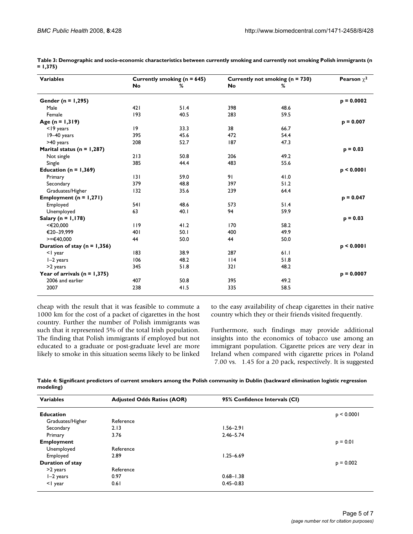| <b>Variables</b>                 | Currently smoking ( $n = 645$ ) |      | Currently not smoking (n = 730) |      | <b>Pearson</b> $\chi^2$ |
|----------------------------------|---------------------------------|------|---------------------------------|------|-------------------------|
|                                  | No                              | ℅    | <b>No</b>                       | %    |                         |
| Gender ( $n = 1,295$ )           |                                 |      |                                 |      | $p = 0.0002$            |
| Male                             | 421                             | 51.4 | 398                             | 48.6 |                         |
| Female                           | 193                             | 40.5 | 283                             | 59.5 |                         |
| Age $(n = 1, 319)$               |                                 |      |                                 |      | $p = 0.007$             |
| $<$ 19 years                     | 9                               | 33.3 | 38                              | 66.7 |                         |
| $19-40$ years                    | 395                             | 45.6 | 472                             | 54.4 |                         |
| >40 years                        | 208                             | 52.7 | 187                             | 47.3 |                         |
| Marital status ( $n = 1,287$ )   |                                 |      |                                 |      | $p = 0.03$              |
| Not single                       | 213                             | 50.8 | 206                             | 49.2 |                         |
| Single                           | 385                             | 44.4 | 483                             | 55.6 |                         |
| Education ( $n = 1,369$ )        |                                 |      |                                 |      | p < 0.0001              |
| Primary                          | 3                               | 59.0 | 91                              | 41.0 |                         |
| Secondary                        | 379                             | 48.8 | 397                             | 51.2 |                         |
| Graduates/Higher                 | 132                             | 35.6 | 239                             | 64.4 |                         |
| Employment ( $n = 1,271$ )       |                                 |      |                                 |      | $p = 0.047$             |
| Employed                         | 541                             | 48.6 | 573                             | 51.4 |                         |
| Unemployed                       | 63                              | 40.1 | 94                              | 59.9 |                         |
| Salary ( $n = 1,178$ )           |                                 |      |                                 |      | $p = 0.03$              |
| <€20,000                         | 119                             | 41.2 | 170                             | 58.2 |                         |
| €20-39,999                       | 401                             | 50.1 | 400                             | 49.9 |                         |
| $>=\epsilon$ 40,000              | 44                              | 50.0 | 44                              | 50.0 |                         |
| Duration of stay ( $n = 1,356$ ) |                                 |      |                                 |      | p < 0.0001              |
| <1 year                          | 83                              | 38.9 | 287                             | 61.1 |                         |
| $I-2$ years                      | 106                             | 48.2 | $ $  4                          | 51.8 |                         |
| >2 years                         | 345                             | 51.8 | 321                             | 48.2 |                         |
| Year of arrivals ( $n = 1,375$ ) |                                 |      |                                 |      | $p = 0.0007$            |
| 2006 and earlier                 | 407                             | 50.8 | 395                             | 49.2 |                         |
| 2007                             | 238                             | 41.5 | 335                             | 58.5 |                         |

**Table 3: Demographic and socio-economic characteristics between currently smoking and currently not smoking Polish immigrants (n = 1,375)**

cheap with the result that it was feasible to commute a 1000 km for the cost of a packet of cigarettes in the host country. Further the number of Polish immigrants was such that it represented 5% of the total Irish population. The finding that Polish immigrants if employed but not educated to a graduate or post-graduate level are more likely to smoke in this situation seems likely to be linked to the easy availability of cheap cigarettes in their native country which they or their friends visited frequently.

Furthermore, such findings may provide additional insights into the economics of tobacco use among an immigrant population. Cigarette prices are very dear in Ireland when compared with cigarette prices in Poland 7.00 vs. 1.45 for a 20 pack, respectively. It is suggested

**Table 4: Significant predictors of current smokers among the Polish community in Dublin (backward elimination logistic regression modeling)**

| <b>Variables</b>        | <b>Adjusted Odds Ratios (AOR)</b> | 95% Confidence Intervals (CI) |                 |
|-------------------------|-----------------------------------|-------------------------------|-----------------|
| <b>Education</b>        |                                   |                               | $p \leq 0.0001$ |
| Graduates/Higher        | Reference                         |                               |                 |
| Secondary               | 2.13                              | $1.56 - 2.91$                 |                 |
| Primary                 | 3.76                              | $2.46 - 5.74$                 |                 |
| <b>Employment</b>       |                                   |                               | $p = 0.01$      |
| Unemployed              | Reference                         |                               |                 |
| Employed                | 2.89                              | $1.25 - 6.69$                 |                 |
| <b>Duration of stay</b> |                                   |                               | $p = 0.002$     |
| >2 years                | Reference                         |                               |                 |
| $I-2$ years             | 0.97                              | $0.68 - 1.38$                 |                 |
| <1 year                 | 0.61                              | $0.45 - 0.83$                 |                 |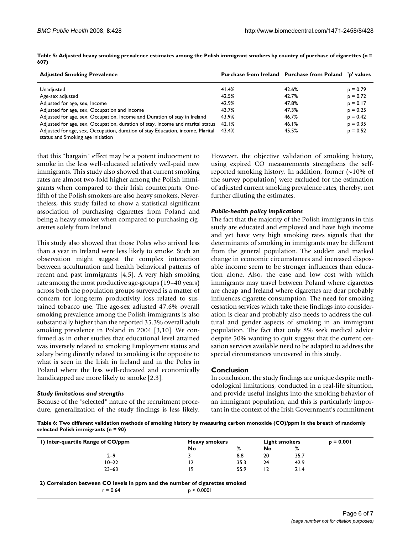| <b>Adjusted Smoking Prevalence</b>                                                                                  |       | Purchase from Ireland Purchase from Poland | 'p' values |  |
|---------------------------------------------------------------------------------------------------------------------|-------|--------------------------------------------|------------|--|
| Unadjusted                                                                                                          | 41.4% | 42.6%                                      | $p = 0.79$ |  |
| Age-sex adjusted                                                                                                    | 42.5% | 42.7%                                      | $p = 0.72$ |  |
| Adjusted for age, sex, Income                                                                                       | 42.9% | 47.8%                                      | $p = 0.17$ |  |
| Adjusted for age, sex, Occupation and income                                                                        | 43.7% | 47.3%                                      | $p = 0.25$ |  |
| Adjusted for age, sex, Occupation, Income and Duration of stay in Ireland                                           | 43.9% | 46.7%                                      | $p = 0.42$ |  |
| Adjusted for age, sex, Occupation, duration of stay, Income and marital status                                      | 42.1% | 46.1%                                      | $p = 0.35$ |  |
| Adjusted for age, sex, Occupation, duration of stay Education, income, Marital<br>status and Smoking age initiation | 43.4% | 45.5%                                      | $p = 0.52$ |  |

**Table 5: Adjusted heavy smoking prevalence estimates among the Polish immigrant smokers by country of purchase of cigarettes (n = 607)**

that this "bargain" effect may be a potent inducement to smoke in the less well-educated relatively well-paid new immigrants. This study also showed that current smoking rates are almost two-fold higher among the Polish immigrants when compared to their Irish counterparts. Onefifth of the Polish smokers are also heavy smokers. Nevertheless, this study failed to show a statistical significant association of purchasing cigarettes from Poland and being a heavy smoker when compared to purchasing cigarettes solely from Ireland.

This study also showed that those Poles who arrived less than a year in Ireland were less likely to smoke. Such an observation might suggest the complex interaction between acculturation and health behavioral patterns of recent and past immigrants [4,5]. A very high smoking rate among the most productive age-groups (19–40 years) across both the population groups surveyed is a matter of concern for long-term productivity loss related to sustained tobacco use. The age-sex adjusted 47.6% overall smoking prevalence among the Polish immigrants is also substantially higher than the reported 35.3% overall adult smoking prevalence in Poland in 2004 [3,10]. We confirmed as in other studies that educational level attained was inversely related to smoking Employment status and salary being directly related to smoking is the opposite to what is seen in the Irish in Ireland and in the Poles in Poland where the less well-educated and economically handicapped are more likely to smoke [2,3].

#### *Study limitations and strengths*

Because of the "selected" nature of the recruitment procedure, generalization of the study findings is less likely. However, the objective validation of smoking history, using expired CO measurements strengthens the selfreported smoking history. In addition, former  $(\sim 10\%$  of the survey population) were excluded for the estimation of adjusted current smoking prevalence rates, thereby, not further diluting the estimates.

#### *Public-health policy implications*

The fact that the majority of the Polish immigrants in this study are educated and employed and have high income and yet have very high smoking rates signals that the determinants of smoking in immigrants may be different from the general population. The sudden and marked change in economic circumstances and increased disposable income seem to be stronger influences than education alone. Also, the ease and low cost with which immigrants may travel between Poland where cigarettes are cheap and Ireland where cigarettes are dear probably influences cigarette consumption. The need for smoking cessation services which take these findings into consideration is clear and probably also needs to address the cultural and gender aspects of smoking in an immigrant population. The fact that only 8% seek medical advice despite 50% wanting to quit suggest that the current cessation services available need to be adapted to address the special circumstances uncovered in this study.

#### **Conclusion**

In conclusion, the study findings are unique despite methodological limitations, conducted in a real-life situation, and provide useful insights into the smoking behavior of an immigrant population, and this is particularly important in the context of the Irish Government's commitment

**Table 6: Two different validation methods of smoking history by measuring carbon monoxide (CO)/ppm in the breath of randomly selected Polish immigrants (n = 90)**

| I) Inter-quartile Range of CO/ppm | <b>Heavy smokers</b> |      | <b>Light smokers</b> |      | $p = 0.001$ |
|-----------------------------------|----------------------|------|----------------------|------|-------------|
|                                   | No                   | %    | No                   | %    |             |
| $2 - 9$                           |                      | 8.8  | 20                   | 35.7 |             |
| $10 - 22$                         | 12                   | 35.3 | 24                   | 42.9 |             |
| $23 - 63$                         | ۱9                   | 55.9 | l 4                  | 21.4 |             |

**2) Correlation between CO levels in ppm and the number of cigarettes smoked**